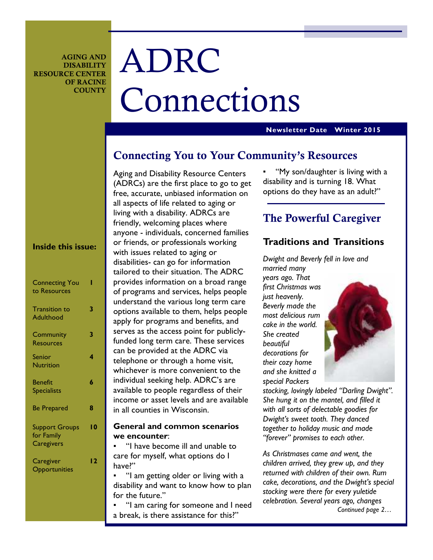**AGING AND DISABILITY RESOURCE CENTER OF RACINE COUNTY** 

# ADRC Connections

### **Newsletter Date Winter 2015**

# **Connecting You to Your Community's Resources**

Aging and Disability Resource Centers (ADRCs) are the first place to go to get free, accurate, unbiased information on all aspects of life related to aging or living with a disability. ADRCs are friendly, welcoming places where anyone - individuals, concerned families or friends, or professionals working with issues related to aging or disabilities- can go for information tailored to their situation. The ADRC provides information on a broad range of programs and services, helps people understand the various long term care options available to them, helps people apply for programs and benefits, and serves as the access point for publiclyfunded long term care. These services can be provided at the ADRC via telephone or through a home visit, whichever is more convenient to the individual seeking help. ADRC's are available to people regardless of their income or asset levels and are available in all counties in Wisconsin.

### **General and common scenarios we encounter**:

"I have become ill and unable to care for myself, what options do I have?"

"I am getting older or living with a disability and want to know how to plan for the future."

"I am caring for someone and I need a break, is there assistance for this?"

"My son/daughter is living with a disability and is turning 18. What options do they have as an adult?"

# **The Powerful Caregiver**

### **Traditions and Transitions**

*Dwight and Beverly fell in love and married many years ago. That first Christmas was just heavenly. Beverly made the most delicious rum cake in the world. She created beautiful decorations for their cozy home and she knitted a special Packers* 

*stocking, lovingly labeled "Darling Dwight". She hung it on the mantel, and filled it with all sorts of delectable goodies for Dwight's sweet tooth. They danced together to holiday music and made "forever" promises to each other.* 

*As Christmases came and went, the children arrived, they grew up, and they returned with children of their own. Rum cake, decorations, and the Dwight's special stocking were there for every yuletide celebration. Several years ago, changes Continued page 2…* 

# **Inside this issue:**

| <b>Connecting You</b><br>to Resources             |    |
|---------------------------------------------------|----|
| <b>Transition to</b><br>Adulthood                 | 3  |
| Community<br><b>Resources</b>                     | 3  |
| Senior<br><b>Nutrition</b>                        | 4  |
| <b>Benefit</b><br><b>Specialists</b>              | 6  |
| <b>Be Prepared</b>                                | 8  |
| <b>Support Groups</b><br>for Family<br>Caregivers | ۱0 |
| Caregiver<br>Opportunities                        | 12 |
|                                                   |    |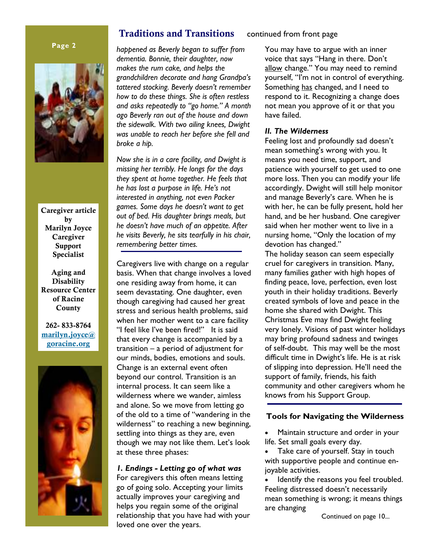### **Page 2**



**Caregiver article by Marilyn Joyce Caregiver Support Specialist** 

**Aging and Disability Resource Center of Racine County** 

**262- 833-8764 marilyn.joyce@ goracine.org**



## **Traditions and Transitions** continued from front page

*happened as Beverly began to suffer from dementia. Bonnie, their daughter, now makes the rum cake, and helps the grandchildren decorate and hang Grandpa's tattered stocking. Beverly doesn't remember how to do these things. She is often restless and asks repeatedly to "go home." A month ago Beverly ran out of the house and down the sidewalk. With two ailing knees, Dwight was unable to reach her before she fell and broke a hip.* 

*Now she is in a care facility, and Dwight is missing her terribly. He longs for the days they spent at home together. He feels that he has lost a purpose in life. He's not interested in anything, not even Packer games. Some days he doesn't want to get out of bed. His daughter brings meals, but he doesn't have much of an appetite. After he visits Beverly, he sits tearfully in his chair, remembering better times.* 

Caregivers live with change on a regular basis. When that change involves a loved one residing away from home, it can seem devastating. One daughter, even though caregiving had caused her great stress and serious health problems, said when her mother went to a care facility "I feel like I've been fired!" It is said that every change is accompanied by a transition – a period of adjustment for our minds, bodies, emotions and souls. Change is an external event often beyond our control. Transition is an internal process. It can seem like a wilderness where we wander, aimless and alone. So we move from letting go of the old to a time of "wandering in the wilderness" to reaching a new beginning, settling into things as they are, even though we may not like them. Let's look at these three phases:

### *1. Endings - Letting go of what was*

For caregivers this often means letting go of going solo. Accepting your limits actually improves your caregiving and helps you regain some of the original relationship that you have had with your loved one over the years.

You may have to argue with an inner voice that says "Hang in there. Don't allow change." You may need to remind yourself, "I'm not in control of everything. Something has changed, and I need to respond to it. Recognizing a change does not mean you approve of it or that you have failed.

### *II. The Wilderness*

Feeling lost and profoundly sad doesn't mean something's wrong with you. It means you need time, support, and patience with yourself to get used to one more loss. Then you can modify your life accordingly. Dwight will still help monitor and manage Beverly's care. When he is with her, he can be fully present, hold her hand, and be her husband. One caregiver said when her mother went to live in a nursing home, "Only the location of my devotion has changed."

The holiday season can seem especially cruel for caregivers in transition. Many, many families gather with high hopes of finding peace, love, perfection, even lost youth in their holiday traditions. Beverly created symbols of love and peace in the home she shared with Dwight. This Christmas Eve may find Dwight feeling very lonely. Visions of past winter holidays may bring profound sadness and twinges of self-doubt. This may well be the most difficult time in Dwight's life. He is at risk of slipping into depression. He'll need the support of family, friends, his faith community and other caregivers whom he knows from his Support Group.

### **Tools for Navigating the Wilderness**

• Maintain structure and order in your life. Set small goals every day.

Take care of yourself. Stay in touch with supportive people and continue enjoyable activities.

Identify the reasons you feel troubled. Feeling distressed doesn't necessarily mean something is wrong; it means things are changing

Continued on page 10...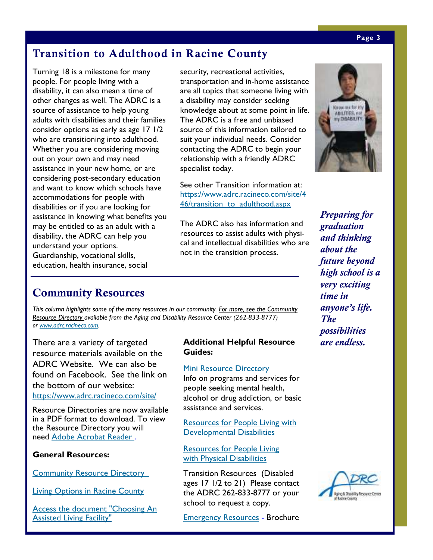# **Transition to Adulthood in Racine County**

Turning 18 is a milestone for many people. For people living with a disability, it can also mean a time of other changes as well. The ADRC is a source of assistance to help young adults with disabilities and their families consider options as early as age 17 1/2 who are transitioning into adulthood. Whether you are considering moving out on your own and may need assistance in your new home, or are considering post-secondary education and want to know which schools have accommodations for people with disabilities or if you are looking for assistance in knowing what benefits you may be entitled to as an adult with a disability, the ADRC can help you understand your options. Guardianship, vocational skills, education, health insurance, social

security, recreational activities, transportation and in-home assistance are all topics that someone living with a disability may consider seeking knowledge about at some point in life. The ADRC is a free and unbiased source of this information tailored to suit your individual needs. Consider contacting the ADRC to begin your relationship with a friendly ADRC specialist today.

See other Transition information at: https://www.adrc.racineco.com/site/4 46/transition\_to\_adulthood.aspx

The ADRC also has information and resources to assist adults with physical and intellectual disabilities who are not in the transition process.

# **Community Resources**

*This column highlights some of the many resources in our community. For more, see the Community Resource Directory available from the Aging and Disability Resource Center (262-833-8777) or www.adrc.racineco.com.*

There are a variety of targeted resource materials available on the ADRC Website. We can also be found on Facebook. See the link on the bottom of our website: https://www.adrc.racineco.com/site/

Resource Directories are now available in a PDF format to download. To view the Resource Directory you will need Adobe Acrobat Reader .

### **General Resources:**

**Community Resource Directory** 

Living Options in Racine County

Access the document "Choosing An **Assisted Living Facility"** 

### **Additional Helpful Resource Guides:**

### Mini Resource Directory

Info on programs and services for people seeking mental health, alcohol or drug addiction, or basic assistance and services.

Resources for People Living with Developmental Disabilities

Resources for People Living with Physical Disabilities

Transition Resources (Disabled ages 17 1/2 to 21) Please contact the ADRC 262-833-8777 or your school to request a copy.

Emergency Resources - Brochure



*Preparing for graduation and thinking about the future beyond high school is a very exciting time in anyone's life. The possibilities are endless.* 

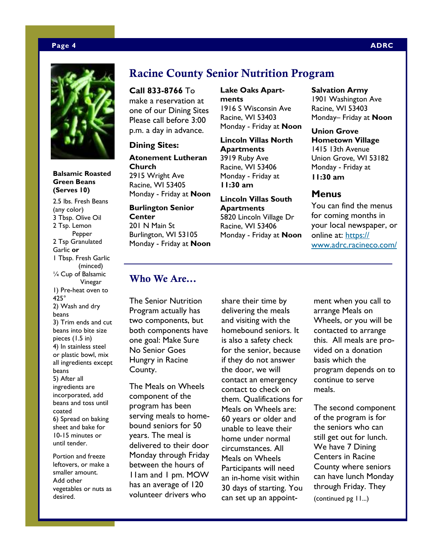### **Page 4 ADRC**



**Balsamic Roasted Green Beans (Serves 10)** 

2.5 lbs. Fresh Beans (any color) 3 Tbsp. Olive Oil 2 Tsp. Lemon Pepper 2 Tsp Granulated Garlic **or**  1 Tbsp. Fresh Garlic (minced) ¼ Cup of Balsamic Vinegar 1) Pre-heat oven to 425° 2) Wash and dry beans 3) Trim ends and cut beans into bite size pieces (1.5 in) 4) In stainless steel or plastic bowl, mix all ingredients except beans 5) After all ingredients are incorporated, add beans and toss until coated 6) Spread on baking sheet and bake for 10-15 minutes or until tender. Portion and freeze

leftovers, or make a smaller amount. Add other vegetables or nuts as desired.

# **Racine County Senior Nutrition Program**

**Call 833-8766** To make a reservation at one of our Dining Sites Please call before 3:00 p.m. a day in advance.

### **Dining Sites:**

**Atonement Lutheran Church**  2915 Wright Ave Racine, WI 53405 Monday - Friday at **Noon**

**Burlington Senior Center**  201 N Main St Burlington, WI 53105 Monday - Friday at **Noon** **Lake Oaks Apartments**  1916 S Wisconsin Ave Racine, WI 53403 Monday - Friday at **Noon**

**Lincoln Villas North Apartments**  3919 Ruby Ave Racine, WI 53406 Monday - Friday at **11:30 am** 

**Lincoln Villas South Apartments**  5820 Lincoln Village Dr Racine, WI 53406 Monday - Friday at **Noon**

### **Salvation Army**

1901 Washington Ave Racine, WI 53403 Monday– Friday at **Noon**

**Union Grove Hometown Village**  1415 13th Avenue Union Grove, WI 53182 Monday - Friday at **11:30 am** 

### **Menus**

You can find the menus for coming months in your local newspaper, or online at: https:// www.adrc.racineco.com/

# **Who We Are...**

The Senior Nutrition Program actually has two components, but both components have one goal: Make Sure No Senior Goes Hungry in Racine County.

The Meals on Wheels component of the program has been serving meals to homebound seniors for 50 years. The meal is delivered to their door Monday through Friday between the hours of 11am and 1 pm. MOW has an average of 120 volunteer drivers who

share their time by delivering the meals and visiting with the homebound seniors. It is also a safety check for the senior, because if they do not answer the door, we will contact an emergency contact to check on them. Qualifications for Meals on Wheels are: 60 years or older and unable to leave their home under normal circumstances. All Meals on Wheels Participants will need an in-home visit within 30 days of starting. You can set up an appoint-

ment when you call to arrange Meals on Wheels, or you will be contacted to arrange this. All meals are provided on a donation basis which the program depends on to continue to serve meals.

The second component of the program is for the seniors who can still get out for lunch. We have 7 Dining Centers in Racine County where seniors can have lunch Monday through Friday. They (continued pg 11...)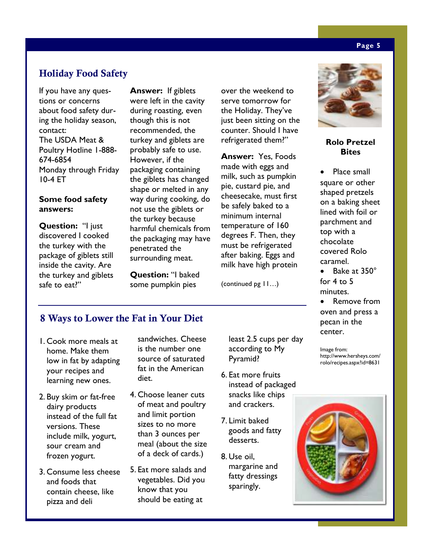# **Holiday Food Safety**

If you have any questions or concerns about food safety during the holiday season, contact: The USDA Meat & Poultry Hotline 1-888- 674-6854 Monday through Friday 10-4 ET

### **Some food safety answers:**

**Question:** "I just discovered I cooked the turkey with the package of giblets still inside the cavity. Are the turkey and giblets safe to eat?"

**Answer:** If giblets were left in the cavity during roasting, even though this is not recommended, the turkey and giblets are probably safe to use. However, if the packaging containing the giblets has changed shape or melted in any way during cooking, do not use the giblets or the turkey because harmful chemicals from the packaging may have penetrated the surrounding meat.

**Question:** "I baked some pumpkin pies

over the weekend to serve tomorrow for the Holiday. They've just been sitting on the counter. Should I have refrigerated them?"

**Answer:** Yes, Foods made with eggs and milk, such as pumpkin pie, custard pie, and cheesecake, must first be safely baked to a minimum internal temperature of 160 degrees F. Then, they must be refrigerated after baking. Eggs and milk have high protein

(continued pg 11…)



### **Rolo Pretzel Bites**

Place small square or other shaped pretzels on a baking sheet lined with foil or parchment and top with a chocolate covered Rolo caramel.

• Bake at 350° for  $4$  to  $5$ minutes.

• Remove from oven and press a pecan in the center.

Image from: http://www.hersheys.com/ rolo/recipes.aspx?id=8631

# **8 Ways to Lower the Fat in Your Diet**

- 1. Cook more meals at home. Make them low in fat by adapting your recipes and learning new ones.
- 2. Buy skim or fat-free dairy products instead of the full fat versions. These include milk, yogurt, sour cream and frozen yogurt.
- 3. Consume less cheese and foods that contain cheese, like pizza and deli

sandwiches. Cheese is the number one source of saturated fat in the American diet.

- 4. Choose leaner cuts of meat and poultry and limit portion sizes to no more than 3 ounces per meal (about the size of a deck of cards.)
- 5. Eat more salads and vegetables. Did you know that you should be eating at

least 2.5 cups per day according to My Pyramid?

- 6. Eat more fruits instead of packaged snacks like chips and crackers.
- 7. Limit baked goods and fatty desserts.
- 8. Use oil, margarine and fatty dressings sparingly.



### **Page 5**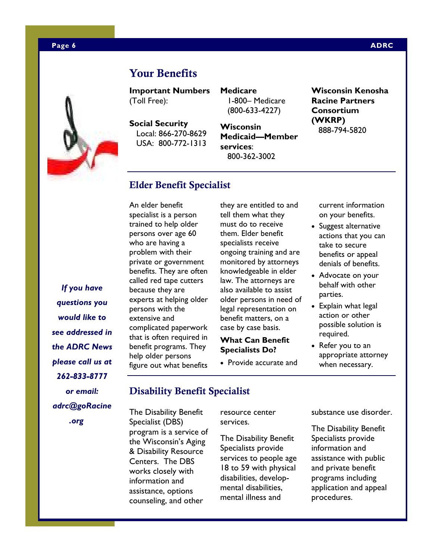### **Page 6 ADRC 2012 12:00:00 ADRC 2014 12:00:00 ADRC 2014 12:00:00 ADRC**



**Important Numbers**  (Toll Free):

**Your Benefits** 

**Social Security**  Local: 866-270-8629 USA: 800-772-1313 **Medicare**  1-800– Medicare (800-633-4227)

**Wisconsin Medicaid—Member services**: 800-362-3002

**Wisconsin Kenosha Racine Partners Consortium (WKRP)**  888-794-5820

### **Elder Benefit Specialist**

An elder benefit specialist is a person trained to help older persons over age 60 who are having a problem with their private or government benefits. They are often called red tape cutters because they are experts at helping older persons with the extensive and complicated paperwork that is often required in benefit programs. They help older persons figure out what benefits

they are entitled to and tell them what they must do to receive them. Elder benefit specialists receive ongoing training and are monitored by attorneys knowledgeable in elder law. The attorneys are also available to assist older persons in need of legal representation on benefit matters, on a case by case basis.

### **What Can Benefit Specialists Do?**

• Provide accurate and

current information on your benefits.

- Suggest alternative actions that you can take to secure benefits or appeal denials of benefits.
- Advocate on your behalf with other parties.
- Explain what legal action or other possible solution is required.
- Refer you to an appropriate attorney when necessary.

*If you have questions you would like to see addressed in the ADRC News please call us at 262-833-8777 or email: adrc@goRacine .org* 

### **Disability Benefit Specialist**

The Disability Benefit Specialist (DBS) program is a service of the Wisconsin's Aging & Disability Resource Centers. The DBS works closely with information and assistance, options counseling, and other

resource center services.

The Disability Benefit Specialists provide services to people age 18 to 59 with physical disabilities, developmental disabilities, mental illness and

substance use disorder.

The Disability Benefit Specialists provide information and assistance with public and private benefit programs including application and appeal procedures.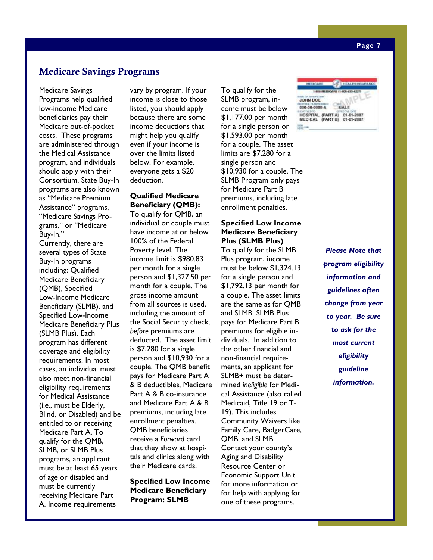Medicare Savings Programs help qualified low-income Medicare beneficiaries pay their Medicare out-of-pocket costs. These programs are administered through the Medical Assistance program, and individuals should apply with their Consortium. State Buy-In programs are also known as "Medicare Premium Assistance" programs, "Medicare Savings Programs," or "Medicare Buy-In."

Currently, there are several types of State Buy-In programs including: Qualified Medicare Beneficiary (QMB), Specified Low-Income Medicare Beneficiary (SLMB), and Specified Low-Income Medicare Beneficiary Plus (SLMB Plus). Each program has different coverage and eligibility requirements. In most cases, an individual must also meet non-financial eligibility requirements for Medical Assistance (i.e., must be Elderly, Blind, or Disabled) and be entitled to or receiving Medicare Part A. To qualify for the QMB, SLMB, or SLMB Plus programs, an applicant must be at least 65 years of age or disabled and must be currently receiving Medicare Part A. Income requirements

vary by program. If your income is close to those listed, you should apply because there are some income deductions that might help you qualify even if your income is over the limits listed below. For example, everyone gets a \$20 deduction.

### **Qualified Medicare Beneficiary (QMB):**

To qualify for QMB, an individual or couple must have income at or below 100% of the Federal Poverty level. The income limit is \$980.83 per month for a single person and \$1,327.50 per month for a couple. The gross income amount from all sources is used, including the amount of the Social Security check, *before* premiums are deducted. The asset limit is \$7,280 for a single person and \$10,930 for a couple. The QMB benefit pays for Medicare Part A & B deductibles, Medicare Part A & B co-insurance and Medicare Part A & B premiums, including late enrollment penalties. QMB beneficiaries receive a *Forward* card that they show at hospitals and clinics along with their Medicare cards.

**Specified Low Income Medicare Beneficiary Program: SLMB** 

To qualify for the SLMB program, income must be below \$1,177.00 per month for a single person or \$1,593.00 per month for a couple. The asset limits are \$7,280 for a single person and \$10,930 for a couple. The SLMB Program only pays for Medicare Part B premiums, including late enrollment penalties.

### **Specified Low Income Medicare Beneficiary Plus (SLMB Plus)**

To qualify for the SLMB Plus program, income must be below \$1,324.13 for a single person and \$1,792.13 per month for a couple. The asset limits are the same as for QMB and SLMB. SLMB Plus pays for Medicare Part B premiums for eligible individuals. In addition to the other financial and non-financial requirements, an applicant for SLMB+ must be determined *ineligible* for Medical Assistance (also called Medicaid, Title 19 or T-19). This includes Community Waivers like Family Care, BadgerCare, QMB, and SLMB. Contact your county's Aging and Disability Resource Center or Economic Support Unit for more information or for help with applying for one of these programs.

JOHN DOE 000-00-0000-A HOSPITAL (PART A) 01-01-2007<br>MEDICAL (PART B) 01-01-2007

> *Please Note that program eligibility information and guidelines often change from year to year. Be sure to ask for the most current eligibility guideline information.*

**HEALTH INSURA**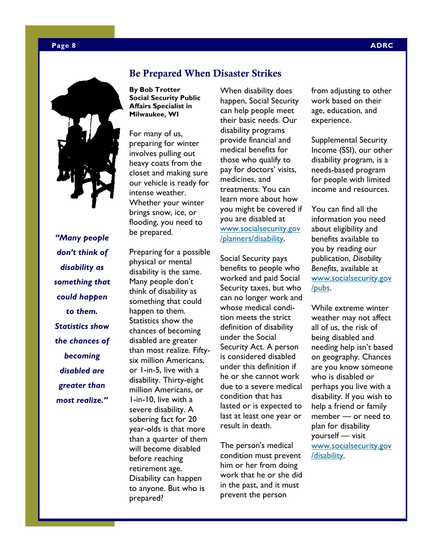

*"Many people don't think of disability as something that could happen to them. Statistics show the chances of becoming disabled are greater than most realize."* 

### **Be Prepared When Disaster Strikes**

**By Bob Trotter Social Security Public Affairs Specialist in Milwaukee, WI** 

For many of us, preparing for winter involves pulling out heavy coats from the closet and making sure our vehicle is ready for intense weather. Whether your winter brings snow, ice, or flooding, you need to be prepared.

Preparing for a possible physical or mental disability is the same. Many people don't think of disability as something that could happen to them. Statistics show the chances of becoming disabled are greater than most realize. Fiftysix million Americans, or 1-in-5, live with a disability. Thirty-eight million Americans, or 1-in-10, live with a severe disability. A sobering fact for 20 year-olds is that more than a quarter of them will become disabled before reaching retirement age. Disability can happen to anyone. But who is prepared?

When disability does happen, Social Security can help people meet their basic needs. Our disability programs provide financial and medical benefits for those who qualify to pay for doctors' visits, medicines, and treatments. You can learn more about how you might be covered if you are disabled at www.socialsecurity.gov /planners/disability.

Social Security pays benefits to people who worked and paid Social Security taxes, but who can no longer work and whose medical condition meets the strict definition of disability under the Social Security Act. A person is considered disabled under this definition if he or she cannot work due to a severe medical condition that has lasted or is expected to last at least one year or result in death.

The person's medical condition must prevent him or her from doing work that he or she did in the past, and it must prevent the person

from adjusting to other work based on their age, education, and experience.

Supplemental Security Income (SSI), our other disability program, is a needs-based program for people with limited income and resources.

You can find all the information you need about eligibility and benefits available to you by reading our publication, *Disability Benefits*, available at www.socialsecurity.gov /pubs.

While extreme winter weather may not affect all of us, the risk of being disabled and needing help isn't based on geography. Chances are you know someone who is disabled or perhaps you live with a disability. If you wish to help a friend or family member — or need to plan for disability yourself — visit www.socialsecurity.gov /disability.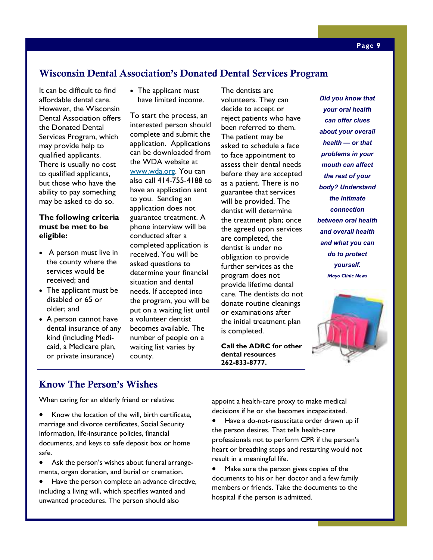# **Wisconsin Dental Association's Donated Dental Services Program**

It can be difficult to find affordable dental care. However, the Wisconsin Dental Association offers the Donated Dental Services Program, which may provide help to qualified applicants. There is usually no cost to qualified applicants, but those who have the ability to pay something may be asked to do so.

### **The following criteria must be met to be eligible:**

- A person must live in the county where the services would be received; and
- The applicant must be disabled or 65 or older; and
- A person cannot have dental insurance of any kind (including Medicaid, a Medicare plan, or private insurance)

• The applicant must have limited income.

To start the process, an interested person should complete and submit the application. Applications can be downloaded from the WDA website at www.wda.org. You can also call 414-755-4188 to have an application sent to you. Sending an application does not guarantee treatment. A phone interview will be conducted after a completed application is received. You will be asked questions to determine your financial situation and dental needs. If accepted into the program, you will be put on a waiting list until a volunteer dentist becomes available. The number of people on a waiting list varies by county.

The dentists are volunteers. They can decide to accept or reject patients who have been referred to them. The patient may be asked to schedule a face to face appointment to assess their dental needs before they are accepted as a patient. There is no guarantee that services will be provided. The dentist will determine the treatment plan; once the agreed upon services are completed, the dentist is under no obligation to provide further services as the program does not provide lifetime dental care. The dentists do not donate routine cleanings or examinations after the initial treatment plan is completed.

**Call the ADRC for other dental resources 262-833-8777.** 

*Did you know that your oral health can offer clues about your overall health — or that problems in your mouth can affect the rest of your body? Understand the intimate connection between oral health and overall health and what you can do to protect yourself. Mayo Clinic News* 



## **Know The Person's Wishes**

When caring for an elderly friend or relative:

- Know the location of the will, birth certificate, marriage and divorce certificates, Social Security information, life-insurance policies, financial documents, and keys to safe deposit box or home safe.
- Ask the person's wishes about funeral arrangements, organ donation, and burial or cremation.
- Have the person complete an advance directive, including a living will, which specifies wanted and unwanted procedures. The person should also

appoint a health-care proxy to make medical decisions if he or she becomes incapacitated.

- Have a do-not-resuscitate order drawn up if the person desires. That tells health-care professionals not to perform CPR if the person's heart or breathing stops and restarting would not result in a meaningful life.
- Make sure the person gives copies of the documents to his or her doctor and a few family members or friends. Take the documents to the hospital if the person is admitted.

### **Page 9**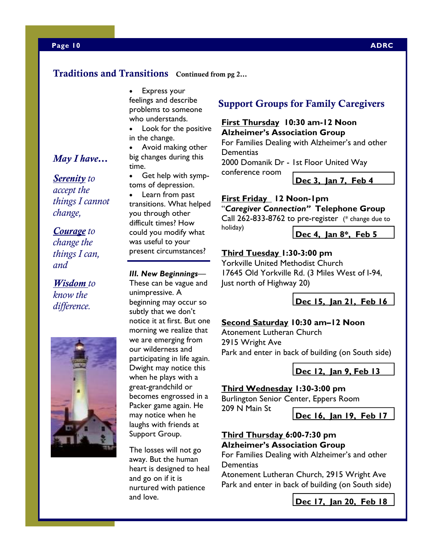### **Traditions and Transitions Continued from pg 2…**

• Express your feelings and describe problems to someone who understands.

Look for the positive in the change.

• Avoid making other big changes during this time.

• Get help with symptoms of depression.

Learn from past transitions. What helped you through other difficult times? How could you modify what was useful to your present circumstances?

### *III. New Beginnings*—

These can be vague and unimpressive. A beginning may occur so subtly that we don't notice it at first. But one morning we realize that we are emerging from our wilderness and participating in life again. Dwight may notice this when he plays with a great-grandchild or becomes engrossed in a Packer game again. He may notice when he laughs with friends at Support Group.

The losses will not go away. But the human heart is designed to heal and go on if it is nurtured with patience and love.

# **Support Groups for Family Caregivers**

### **First Thursday 10:30 am-12 Noon Alzheimer's Association Group**

For Families Dealing with Alzheimer's and other **Dementias** 

2000 Domanik Dr - 1st Floor United Way

**Dec 3, Jan 7, Feb 4** 

### **First Friday 12 Noon-1pm**

conference room

"*Caregiver Connection"* **Telephone Group** 

Call 262-833-8762 to pre-register (\* change due to holiday)

### **Dec 4, Jan 8\*, Feb 5**

### **Third Tuesday 1:30-3:00 pm**

Yorkville United Methodist Church 17645 Old Yorkville Rd. (3 Miles West of I-94, Just north of Highway 20)

**Dec 15, Jan 21, Feb 16** 

### **Second Saturday 10:30 am–12 Noon**

Atonement Lutheran Church 2915 Wright Ave Park and enter in back of building (on South side)

**Dec 12, Jan 9, Feb 13** 

### **Third Wednesday 1:30-3:00 pm**

Burlington Senior Center, Eppers Room

209 N Main St

**Dec 16, Jan 19, Feb 17** 

### **Third Thursday 6:00-7:30 pm Alzheimer's Association Group**

For Families Dealing with Alzheimer's and other **Dementias** 

Atonement Lutheran Church, 2915 Wright Ave Park and enter in back of building (on South side)

**Dec 17, Jan 20, Feb 18** 

*May I have…*

*Serenity to accept the things I cannot change,* 

*Courage to change the things I can, and* 

*Wisdom to know the difference.*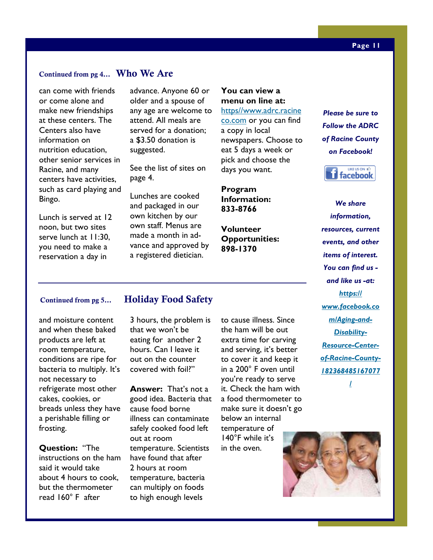### **Continued from pg 4… Who We Are**

can come with friends or come alone and make new friendships at these centers. The Centers also have information on nutrition education, other senior services in Racine, and many centers have activities, such as card playing and Bingo.

Lunch is served at 12 noon, but two sites serve lunch at 11:30, you need to make a reservation a day in

advance. Anyone 60 or older and a spouse of any age are welcome to attend. All meals are served for a donation; a \$3.50 donation is suggested.

See the list of sites on page 4.

Lunches are cooked and packaged in our own kitchen by our own staff. Menus are made a month in advance and approved by a registered dietician.

### **You can view a menu on line at:**  https//www.adrc.racine

co.com or you can find a copy in local newspapers. Choose to eat 5 days a week or pick and choose the days you want.

**Program Information: 833-8766** 

**Volunteer Opportunities: 898-1370** 

*Please be sure to Follow the ADRC of Racine County on Facebook!* 



*We share information, resources, current events, and other items of interest. You can find us and like us -at: https:// www.facebook.co m/Aging-and-Disability-Resource-Centerof-Racine-County-182368485167077 /*

and moisture content and when these baked products are left at room temperature, conditions are ripe for bacteria to multiply. It's not necessary to refrigerate most other cakes, cookies, or breads unless they have a perishable filling or frosting.

**Question:** "The instructions on the ham said it would take about 4 hours to cook, but the thermometer read 160° F after

### **Continued from pg 5… Holiday Food Safety**

3 hours, the problem is that we won't be eating for another 2 hours. Can I leave it out on the counter covered with foil?"

**Answer:** That's not a good idea. Bacteria that cause food borne illness can contaminate safely cooked food left out at room temperature. Scientists have found that after 2 hours at room temperature, bacteria can multiply on foods to high enough levels

the ham will be out extra time for carving and serving, it's better to cover it and keep it in a 200° F oven until you're ready to serve it. Check the ham with a food thermometer to make sure it doesn't go below an internal temperature of 140°F while it's in the oven.

to cause illness. Since